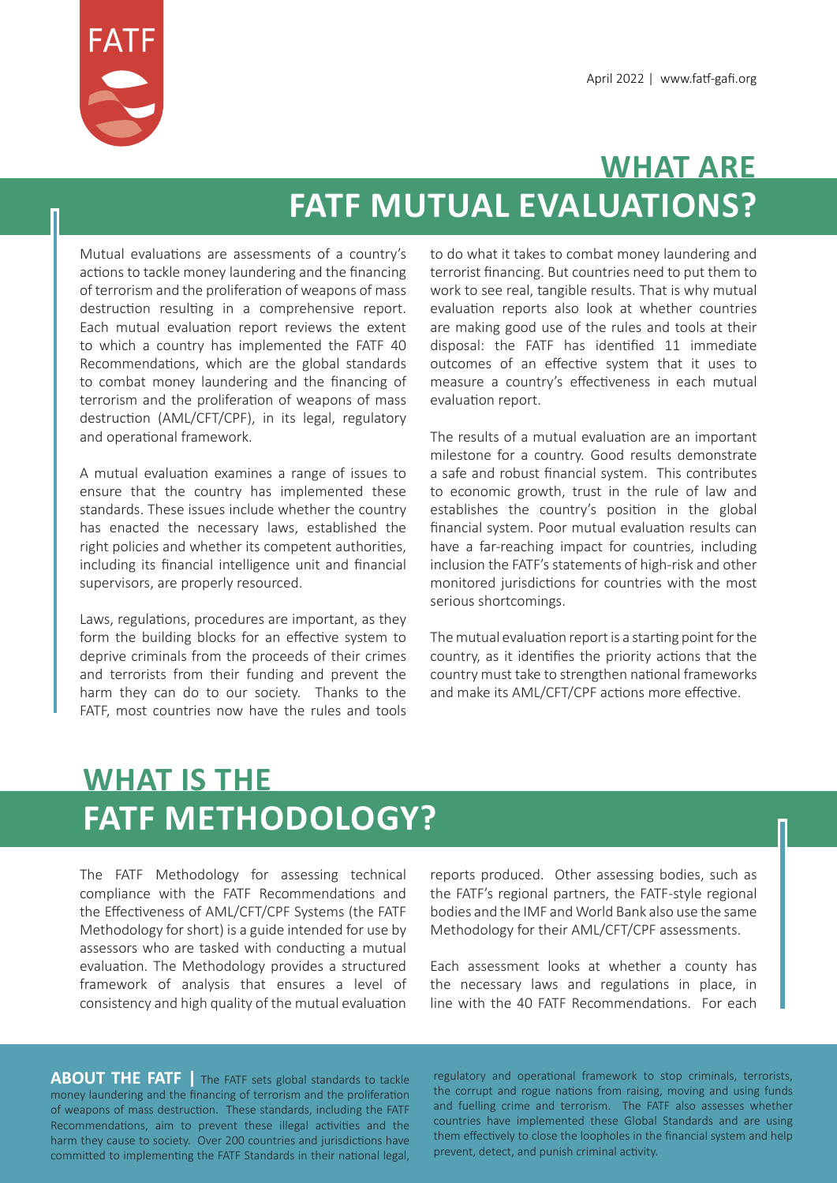## **WHAT ARE FATF MUTUAL EVALUATIONS?**

Mutual evaluations are assessments of a country's actions to tackle money laundering and the financing of terrorism and the proliferation of weapons of mass destruction resulting in a comprehensive report. Each mutual evaluation report reviews the extent to which a country has implemented the FATF 40 Recommendations, which are the global standards to combat money laundering and the financing of terrorism and the proliferation of weapons of mass destruction (AML/CFT/CPF), in its legal, regulatory and operational framework.

A mutual evaluation examines a range of issues to ensure that the country has implemented these standards. These issues include whether the country has enacted the necessary laws, established the right policies and whether its competent authorities, including its financial intelligence unit and financial supervisors, are properly resourced.

Laws, regulations, procedures are important, as they form the building blocks for an effective system to deprive criminals from the proceeds of their crimes and terrorists from their funding and prevent the harm they can do to our society. Thanks to the FATF, most countries now have the rules and tools

to do what it takes to combat money laundering and terrorist financing. But countries need to put them to work to see real, tangible results. That is why mutual evaluation reports also look at whether countries are making good use of the rules and tools at their disposal: the FATF has identified 11 immediate outcomes of an effective system that it uses to measure a country's effectiveness in each mutual evaluation report.

The results of a mutual evaluation are an important milestone for a country. Good results demonstrate a safe and robust financial system. This contributes to economic growth, trust in the rule of law and establishes the country's position in the global financial system. Poor mutual evaluation results can have a far-reaching impact for countries, including inclusion the FATF's statements of high-risk and other monitored jurisdictions for countries with the most serious shortcomings.

The mutual evaluation report is a starting point for the country, as it identifies the priority actions that the country must take to strengthen national frameworks and make its AML/CFT/CPF actions more effective.

## **WHAT IS THE FATF METHODOLOGY?**

The FATF Methodology for assessing technical compliance with the FATF Recommendations and the Effectiveness of AML/CFT/CPF Systems (the FATF Methodology for short) is a guide intended for use by assessors who are tasked with conducting a mutual evaluation. The Methodology provides a structured framework of analysis that ensures a level of consistency and high quality of the mutual evaluation

reports produced. Other assessing bodies, such as the FATF's regional partners, the FATF-style regional bodies and the IMF and World Bank also use the same Methodology for their AML/CFT/CPF assessments.

Each assessment looks at whether a county has the necessary laws and regulations in place, in line with the 40 FATF Recommendations. For each

**ABOUT THE FATF** | The FATF sets global standards to tackle money laundering and the financing of terrorism and the proliferation of weapons of mass destruction. These standards, including the FATF Recommendations, aim to prevent these illegal activities and the harm they cause to society. Over 200 countries and jurisdictions have committed to implementing the FATF Standards in their national legal,

regulatory and operational framework to stop criminals, terrorists, the corrupt and rogue nations from raising, moving and using funds and fuelling crime and terrorism. The FATF also assesses whether countries have implemented these Global Standards and are using them effectively to close the loopholes in the financial system and help prevent, detect, and punish criminal activity.